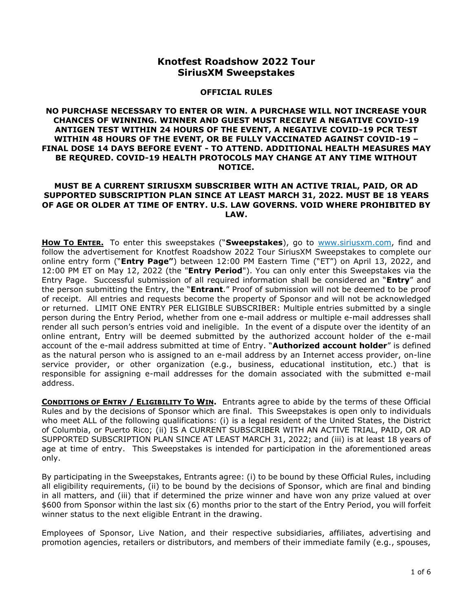# **Knotfest Roadshow 2022 Tour SiriusXM Sweepstakes**

#### **OFFICIAL RULES**

#### **NO PURCHASE NECESSARY TO ENTER OR WIN. A PURCHASE WILL NOT INCREASE YOUR CHANCES OF WINNING. WINNER AND GUEST MUST RECEIVE A NEGATIVE COVID-19 ANTIGEN TEST WITHIN 24 HOURS OF THE EVENT, A NEGATIVE COVID-19 PCR TEST WITHIN 48 HOURS OF THE EVENT, OR BE FULLY VACCINATED AGAINST COVID-19 – FINAL DOSE 14 DAYS BEFORE EVENT - TO ATTEND. ADDITIONAL HEALTH MEASURES MAY BE REQURED. COVID-19 HEALTH PROTOCOLS MAY CHANGE AT ANY TIME WITHOUT NOTICE.**

#### **MUST BE A CURRENT SIRIUSXM SUBSCRIBER WITH AN ACTIVE TRIAL, PAID, OR AD SUPPORTED SUBSCRIPTION PLAN SINCE AT LEAST MARCH 31, 2022. MUST BE 18 YEARS OF AGE OR OLDER AT TIME OF ENTRY. U.S. LAW GOVERNS. VOID WHERE PROHIBITED BY LAW.**

**HOW TO ENTER.** To enter this sweepstakes ("**Sweepstakes**), go to [www.siriusxm.com,](http://www.siriusxm.com/) find and follow the advertisement for Knotfest Roadshow 2022 Tour SiriusXM Sweepstakes to complete our online entry form ("**Entry Page"**) between 12:00 PM Eastern Time ("ET") on April 13, 2022, and 12:00 PM ET on May 12, 2022 (the "**Entry Period**"). You can only enter this Sweepstakes via the Entry Page. Successful submission of all required information shall be considered an "**Entry**" and the person submitting the Entry, the "**Entrant**." Proof of submission will not be deemed to be proof of receipt. All entries and requests become the property of Sponsor and will not be acknowledged or returned. LIMIT ONE ENTRY PER ELIGIBLE SUBSCRIBER: Multiple entries submitted by a single person during the Entry Period, whether from one e-mail address or multiple e-mail addresses shall render all such person's entries void and ineligible. In the event of a dispute over the identity of an online entrant, Entry will be deemed submitted by the authorized account holder of the e-mail account of the e-mail address submitted at time of Entry. "**Authorized account holder**" is defined as the natural person who is assigned to an e-mail address by an Internet access provider, on-line service provider, or other organization (e.g., business, educational institution, etc.) that is responsible for assigning e-mail addresses for the domain associated with the submitted e-mail address.

**CONDITIONS OF ENTRY / ELIGIBILITY TO WIN.** Entrants agree to abide by the terms of these Official Rules and by the decisions of Sponsor which are final. This Sweepstakes is open only to individuals who meet ALL of the following qualifications: (i) is a legal resident of the United States, the District of Columbia, or Puerto Rico; (ii) IS A CURRENT SUBSCRIBER WITH AN ACTIVE TRIAL, PAID, OR AD SUPPORTED SUBSCRIPTION PLAN SINCE AT LEAST MARCH 31, 2022; and (iii) is at least 18 years of age at time of entry. This Sweepstakes is intended for participation in the aforementioned areas only.

By participating in the Sweepstakes, Entrants agree: (i) to be bound by these Official Rules, including all eligibility requirements, (ii) to be bound by the decisions of Sponsor, which are final and binding in all matters, and (iii) that if determined the prize winner and have won any prize valued at over \$600 from Sponsor within the last six (6) months prior to the start of the Entry Period, you will forfeit winner status to the next eligible Entrant in the drawing.

Employees of Sponsor, Live Nation, and their respective subsidiaries, affiliates, advertising and promotion agencies, retailers or distributors, and members of their immediate family (e.g., spouses,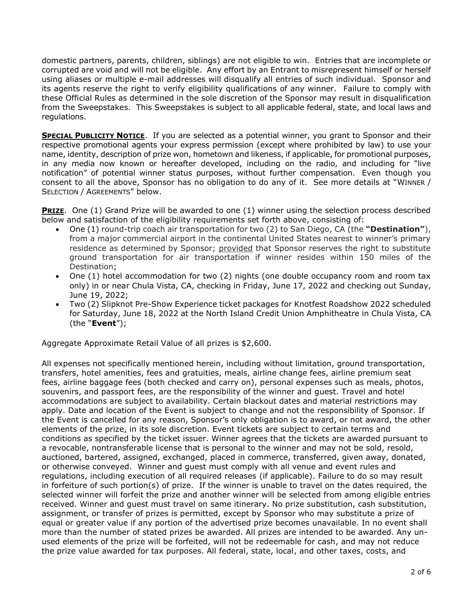domestic partners, parents, children, siblings) are not eligible to win. Entries that are incomplete or corrupted are void and will not be eligible. Any effort by an Entrant to misrepresent himself or herself using aliases or multiple e-mail addresses will disqualify all entries of such individual. Sponsor and its agents reserve the right to verify eligibility qualifications of any winner. Failure to comply with these Official Rules as determined in the sole discretion of the Sponsor may result in disqualification from the Sweepstakes. This Sweepstakes is subject to all applicable federal, state, and local laws and regulations.

**SPECIAL PUBLICITY NOTICE**. If you are selected as a potential winner, you grant to Sponsor and their respective promotional agents your express permission (except where prohibited by law) to use your name, identity, description of prize won, hometown and likeness, if applicable, for promotional purposes, in any media now known or hereafter developed, including on the radio, and including for "live notification" of potential winner status purposes, without further compensation. Even though you consent to all the above, Sponsor has no obligation to do any of it. See more details at "WINNER / SELECTION / AGREEMENTS" below.

**PRIZE**. One (1) Grand Prize will be awarded to one (1) winner using the selection process described below and satisfaction of the eligibility requirements set forth above, consisting of:

- One (1) round-trip coach air transportation for two (2) to San Diego, CA (the **"Destination"**), from a major commercial airport in the continental United States nearest to winner's primary residence as determined by Sponsor; provided that Sponsor reserves the right to substitute ground transportation for air transportation if winner resides within 150 miles of the Destination;
- One (1) hotel accommodation for two (2) nights (one double occupancy room and room tax only) in or near Chula Vista, CA, checking in Friday, June 17, 2022 and checking out Sunday, June 19, 2022;
- Two (2) Slipknot Pre-Show Experience ticket packages for Knotfest Roadshow 2022 scheduled for Saturday, June 18, 2022 at the North Island Credit Union Amphitheatre in Chula Vista, CA (the "**Event**");

Aggregate Approximate Retail Value of all prizes is \$2,600.

All expenses not specifically mentioned herein, including without limitation, ground transportation, transfers, hotel amenities, fees and gratuities, meals, airline change fees, airline premium seat fees, airline baggage fees (both checked and carry on), personal expenses such as meals, photos, souvenirs, and passport fees, are the responsibility of the winner and guest. Travel and hotel accommodations are subject to availability. Certain blackout dates and material restrictions may apply. Date and location of the Event is subject to change and not the responsibility of Sponsor. If the Event is cancelled for any reason, Sponsor's only obligation is to award, or not award, the other elements of the prize, in its sole discretion. Event tickets are subject to certain terms and conditions as specified by the ticket issuer. Winner agrees that the tickets are awarded pursuant to a revocable, nontransferable license that is personal to the winner and may not be sold, resold, auctioned, bartered, assigned, exchanged, placed in commerce, transferred, given away, donated, or otherwise conveyed. Winner and guest must comply with all venue and event rules and regulations, including execution of all required releases (if applicable). Failure to do so may result in forfeiture of such portion(s) of prize. If the winner is unable to travel on the dates required, the selected winner will forfeit the prize and another winner will be selected from among eligible entries received. Winner and guest must travel on same itinerary. No prize substitution, cash substitution, assignment, or transfer of prizes is permitted, except by Sponsor who may substitute a prize of equal or greater value if any portion of the advertised prize becomes unavailable. In no event shall more than the number of stated prizes be awarded. All prizes are intended to be awarded. Any unused elements of the prize will be forfeited, will not be redeemable for cash, and may not reduce the prize value awarded for tax purposes. All federal, state, local, and other taxes, costs, and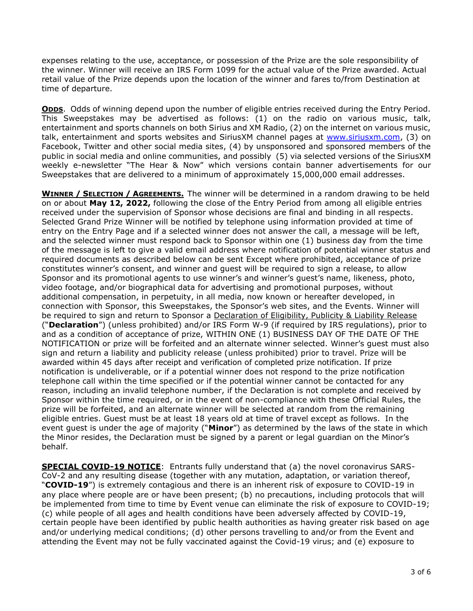expenses relating to the use, acceptance, or possession of the Prize are the sole responsibility of the winner. Winner will receive an IRS Form 1099 for the actual value of the Prize awarded. Actual retail value of the Prize depends upon the location of the winner and fares to/from Destination at time of departure.

**ODDS**. Odds of winning depend upon the number of eligible entries received during the Entry Period. This Sweepstakes may be advertised as follows: (1) on the radio on various music, talk, entertainment and sports channels on both Sirius and XM Radio, (2) on the internet on various music, talk, entertainment and sports websites and SiriusXM channel pages at [www.siriusxm.com,](http://www.siriusxm.com/) (3) on Facebook, Twitter and other social media sites, (4) by unsponsored and sponsored members of the public in social media and online communities, and possibly (5) via selected versions of the SiriusXM weekly e-newsletter "The Hear & Now" which versions contain banner advertisements for our Sweepstakes that are delivered to a minimum of approximately 15,000,000 email addresses.

**WINNER / SELECTION / AGREEMENTS.** The winner will be determined in a random drawing to be held on or about **May 12, 2022,** following the close of the Entry Period from among all eligible entries received under the supervision of Sponsor whose decisions are final and binding in all respects. Selected Grand Prize Winner will be notified by telephone using information provided at time of entry on the Entry Page and if a selected winner does not answer the call, a message will be left, and the selected winner must respond back to Sponsor within one (1) business day from the time of the message is left to give a valid email address where notification of potential winner status and required documents as described below can be sent Except where prohibited, acceptance of prize constitutes winner's consent, and winner and guest will be required to sign a release, to allow Sponsor and its promotional agents to use winner's and winner's guest's name, likeness, photo, video footage, and/or biographical data for advertising and promotional purposes, without additional compensation, in perpetuity, in all media, now known or hereafter developed, in connection with Sponsor, this Sweepstakes, the Sponsor's web sites, and the Events. Winner will be required to sign and return to Sponsor a Declaration of Eligibility, Publicity & Liability Release ("**Declaration**") (unless prohibited) and/or IRS Form W-9 (if required by IRS regulations), prior to and as a condition of acceptance of prize, WITHIN ONE (1) BUSINESS DAY OF THE DATE OF THE NOTIFICATION or prize will be forfeited and an alternate winner selected. Winner's guest must also sign and return a liability and publicity release (unless prohibited) prior to travel. Prize will be awarded within 45 days after receipt and verification of completed prize notification. If prize notification is undeliverable, or if a potential winner does not respond to the prize notification telephone call within the time specified or if the potential winner cannot be contacted for any reason, including an invalid telephone number, if the Declaration is not complete and received by Sponsor within the time required, or in the event of non-compliance with these Official Rules, the prize will be forfeited, and an alternate winner will be selected at random from the remaining eligible entries. Guest must be at least 18 years old at time of travel except as follows. In the event guest is under the age of majority ("**Minor**") as determined by the laws of the state in which the Minor resides, the Declaration must be signed by a parent or legal guardian on the Minor's behalf.

**SPECIAL COVID-19 NOTICE**: Entrants fully understand that (a) the novel coronavirus SARS-CoV-2 and any resulting disease (together with any mutation, adaptation, or variation thereof, "**COVID-19**") is extremely contagious and there is an inherent risk of exposure to COVID-19 in any place where people are or have been present; (b) no precautions, including protocols that will be implemented from time to time by Event venue can eliminate the risk of exposure to COVID-19; (c) while people of all ages and health conditions have been adversely affected by COVID-19, certain people have been identified by public health authorities as having greater risk based on age and/or underlying medical conditions; (d) other persons travelling to and/or from the Event and attending the Event may not be fully vaccinated against the Covid-19 virus; and (e) exposure to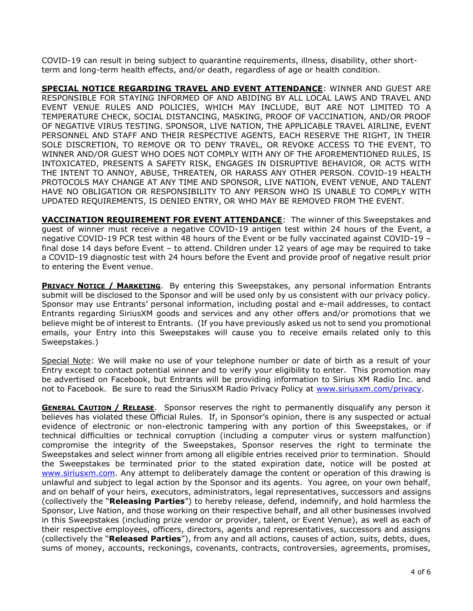COVID-19 can result in being subject to quarantine requirements, illness, disability, other shortterm and long-term health effects, and/or death, regardless of age or health condition.

**SPECIAL NOTICE REGARDING TRAVEL AND EVENT ATTENDANCE**: WINNER AND GUEST ARE RESPONSIBLE FOR STAYING INFORMED OF AND ABIDING BY ALL LOCAL LAWS AND TRAVEL AND EVENT VENUE RULES AND POLICIES, WHICH MAY INCLUDE, BUT ARE NOT LIMITED TO A TEMPERATURE CHECK, SOCIAL DISTANCING, MASKING, PROOF OF VACCINATION, AND/OR PROOF OF NEGATIVE VIRUS TESTING. SPONSOR, LIVE NATION, THE APPLICABLE TRAVEL AIRLINE, EVENT PERSONNEL AND STAFF AND THEIR RESPECTIVE AGENTS, EACH RESERVE THE RIGHT, IN THEIR SOLE DISCRETION, TO REMOVE OR TO DENY TRAVEL, OR REVOKE ACCESS TO THE EVENT, TO WINNER AND/OR GUEST WHO DOES NOT COMPLY WITH ANY OF THE AFOREMENTIONED RULES, IS INTOXICATED, PRESENTS A SAFETY RISK, ENGAGES IN DISRUPTIVE BEHAVIOR, OR ACTS WITH THE INTENT TO ANNOY, ABUSE, THREATEN, OR HARASS ANY OTHER PERSON. COVID-19 HEALTH PROTOCOLS MAY CHANGE AT ANY TIME AND SPONSOR, LIVE NATION, EVENT VENUE, AND TALENT HAVE NO OBLIGATION OR RESPONSIBILITY TO ANY PERSON WHO IS UNABLE TO COMPLY WITH UPDATED REQUIREMENTS, IS DENIED ENTRY, OR WHO MAY BE REMOVED FROM THE EVENT.

**VACCINATION REQUIREMENT FOR EVENT ATTENDANCE**: The winner of this Sweepstakes and guest of winner must receive a negative COVID-19 antigen test within 24 hours of the Event, a negative COVID-19 PCR test within 48 hours of the Event or be fully vaccinated against COVID-19 – final dose 14 days before Event – to attend. Children under 12 years of age may be required to take a COVID-19 diagnostic test with 24 hours before the Event and provide proof of negative result prior to entering the Event venue.

**PRIVACY NOTICE / MARKETING**. By entering this Sweepstakes, any personal information Entrants submit will be disclosed to the Sponsor and will be used only by us consistent with our privacy policy. Sponsor may use Entrants' personal information, including postal and e-mail addresses, to contact Entrants regarding SiriusXM goods and services and any other offers and/or promotions that we believe might be of interest to Entrants. (If you have previously asked us not to send you promotional emails, your Entry into this Sweepstakes will cause you to receive emails related only to this Sweepstakes.)

Special Note: We will make no use of your telephone number or date of birth as a result of your Entry except to contact potential winner and to verify your eligibility to enter. This promotion may be advertised on Facebook, but Entrants will be providing information to Sirius XM Radio Inc. and not to Facebook. Be sure to read the SiriusXM Radio Privacy Policy at [www.siriusxm.com/privacy.](http://www.siriusxm.com/privacy)

**GENERAL CAUTION / RELEASE.** Sponsor reserves the right to permanently disqualify any person it believes has violated these Official Rules. If, in Sponsor's opinion, there is any suspected or actual evidence of electronic or non-electronic tampering with any portion of this Sweepstakes, or if technical difficulties or technical corruption (including a computer virus or system malfunction) compromise the integrity of the Sweepstakes, Sponsor reserves the right to terminate the Sweepstakes and select winner from among all eligible entries received prior to termination. Should the Sweepstakes be terminated prior to the stated expiration date, notice will be posted at [www.siriusxm.com.](http://www.siriusxm.com/) Any attempt to deliberately damage the content or operation of this drawing is unlawful and subject to legal action by the Sponsor and its agents. You agree, on your own behalf, and on behalf of your heirs, executors, administrators, legal representatives, successors and assigns (collectively the "**Releasing Parties**") to hereby release, defend, indemnify, and hold harmless the Sponsor, Live Nation, and those working on their respective behalf, and all other businesses involved in this Sweepstakes (including prize vendor or provider, talent, or Event Venue), as well as each of their respective employees, officers, directors, agents and representatives, successors and assigns (collectively the "**Released Parties**"), from any and all actions, causes of action, suits, debts, dues, sums of money, accounts, reckonings, covenants, contracts, controversies, agreements, promises,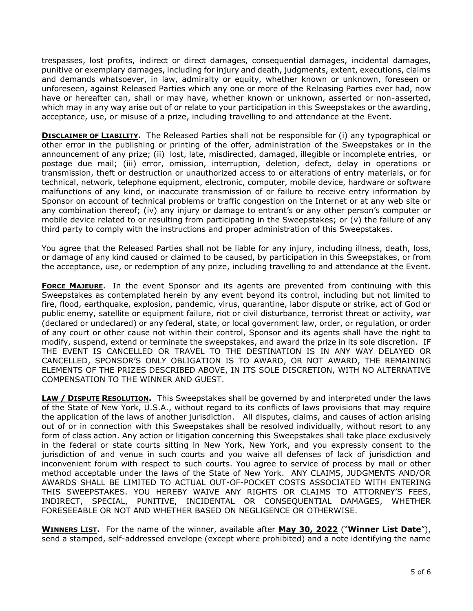trespasses, lost profits, indirect or direct damages, consequential damages, incidental damages, punitive or exemplary damages, including for injury and death, judgments, extent, executions, claims and demands whatsoever, in law, admiralty or equity, whether known or unknown, foreseen or unforeseen, against Released Parties which any one or more of the Releasing Parties ever had, now have or hereafter can, shall or may have, whether known or unknown, asserted or non-asserted, which may in any way arise out of or relate to your participation in this Sweepstakes or the awarding, acceptance, use, or misuse of a prize, including travelling to and attendance at the Event.

**DISCLAIMER OF LIABILITY.** The Released Parties shall not be responsible for (i) any typographical or other error in the publishing or printing of the offer, administration of the Sweepstakes or in the announcement of any prize; (ii) lost, late, misdirected, damaged, illegible or incomplete entries, or postage due mail; (iii) error, omission, interruption, deletion, defect, delay in operations or transmission, theft or destruction or unauthorized access to or alterations of entry materials, or for technical, network, telephone equipment, electronic, computer, mobile device, hardware or software malfunctions of any kind, or inaccurate transmission of or failure to receive entry information by Sponsor on account of technical problems or traffic congestion on the Internet or at any web site or any combination thereof; (iv) any injury or damage to entrant's or any other person's computer or mobile device related to or resulting from participating in the Sweepstakes; or (v) the failure of any third party to comply with the instructions and proper administration of this Sweepstakes.

You agree that the Released Parties shall not be liable for any injury, including illness, death, loss, or damage of any kind caused or claimed to be caused, by participation in this Sweepstakes, or from the acceptance, use, or redemption of any prize, including travelling to and attendance at the Event.

**FORCE MAJEURE**. In the event Sponsor and its agents are prevented from continuing with this Sweepstakes as contemplated herein by any event beyond its control, including but not limited to fire, flood, earthquake, explosion, pandemic, virus, quarantine, labor dispute or strike, act of God or public enemy, satellite or equipment failure, riot or civil disturbance, terrorist threat or activity, war (declared or undeclared) or any federal, state, or local government law, order, or regulation, or order of any court or other cause not within their control, Sponsor and its agents shall have the right to modify, suspend, extend or terminate the sweepstakes, and award the prize in its sole discretion. IF THE EVENT IS CANCELLED OR TRAVEL TO THE DESTINATION IS IN ANY WAY DELAYED OR CANCELLED, SPONSOR'S ONLY OBLIGATION IS TO AWARD, OR NOT AWARD, THE REMAINING ELEMENTS OF THE PRIZES DESCRIBED ABOVE, IN ITS SOLE DISCRETION, WITH NO ALTERNATIVE COMPENSATION TO THE WINNER AND GUEST.

**LAW / DISPUTE RESOLUTION.** This Sweepstakes shall be governed by and interpreted under the laws of the State of New York, U.S.A., without regard to its conflicts of laws provisions that may require the application of the laws of another jurisdiction. All disputes, claims, and causes of action arising out of or in connection with this Sweepstakes shall be resolved individually, without resort to any form of class action. Any action or litigation concerning this Sweepstakes shall take place exclusively in the federal or state courts sitting in New York, New York, and you expressly consent to the jurisdiction of and venue in such courts and you waive all defenses of lack of jurisdiction and inconvenient forum with respect to such courts. You agree to service of process by mail or other method acceptable under the laws of the State of New York. ANY CLAIMS, JUDGMENTS AND/OR AWARDS SHALL BE LIMITED TO ACTUAL OUT-OF-POCKET COSTS ASSOCIATED WITH ENTERING THIS SWEEPSTAKES. YOU HEREBY WAIVE ANY RIGHTS OR CLAIMS TO ATTORNEY'S FEES, INDIRECT, SPECIAL, PUNITIVE, INCIDENTAL OR CONSEQUENTIAL DAMAGES, WHETHER FORESEEABLE OR NOT AND WHETHER BASED ON NEGLIGENCE OR OTHERWISE.

**WINNERS LIST.** For the name of the winner, available after **May 30, 2022** ("**Winner List Date**"), send a stamped, self-addressed envelope (except where prohibited) and a note identifying the name